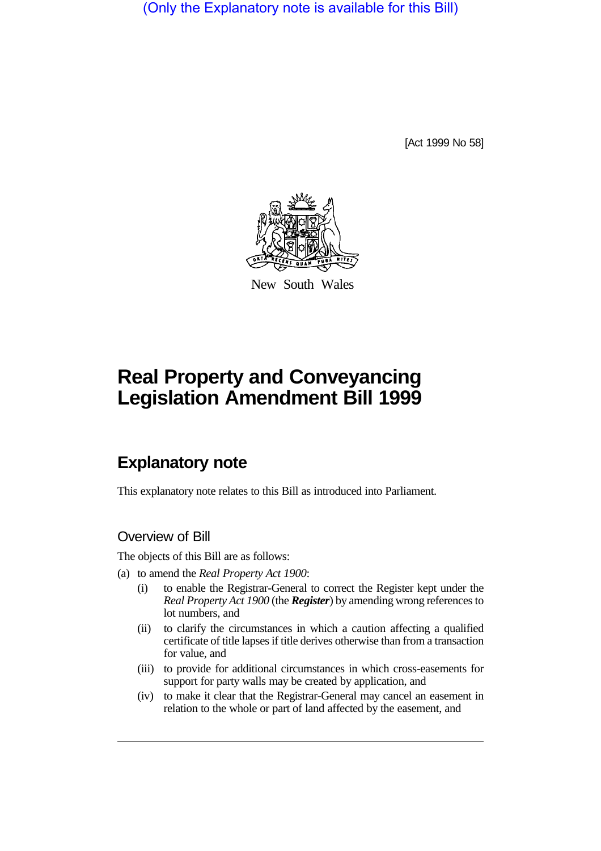(Only the Explanatory note is available for this Bill)

[Act 1999 No 58]



New South Wales

# **Real Property and Conveyancing Legislation Amendment Bill 1999**

## **Explanatory note**

This explanatory note relates to this Bill as introduced into Parliament.

### Overview of Bill

The objects of this Bill are as follows:

- (a) to amend the *Real Property Act 1900*:
	- (i) to enable the Registrar-General to correct the Register kept under the *Real Property Act 1900* (the *Register*) by amending wrong references to lot numbers, and
	- (ii) to clarify the circumstances in which a caution affecting a qualified certificate of title lapses if title derives otherwise than from a transaction for value, and
	- (iii) to provide for additional circumstances in which cross-easements for support for party walls may be created by application, and
	- (iv) to make it clear that the Registrar-General may cancel an easement in relation to the whole or part of land affected by the easement, and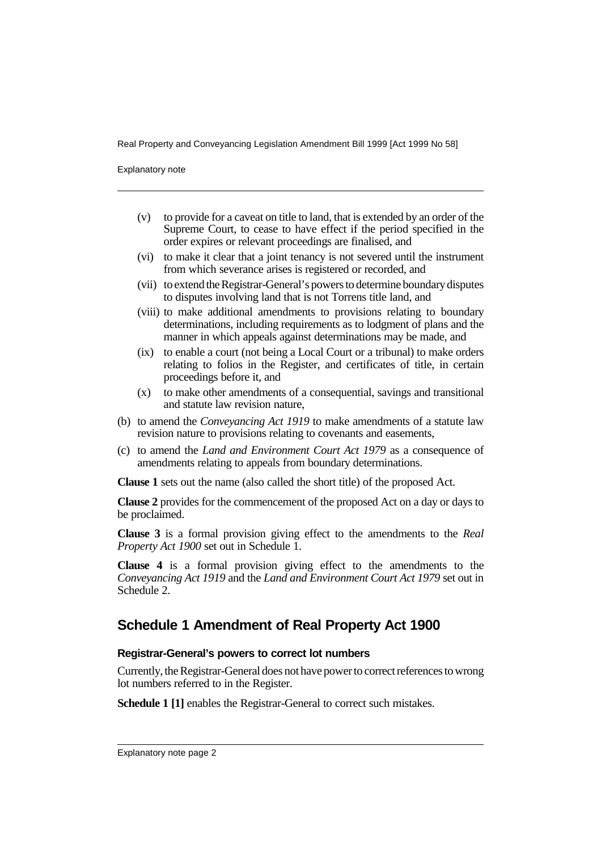Explanatory note

- (v) to provide for a caveat on title to land, that is extended by an order of the Supreme Court, to cease to have effect if the period specified in the order expires or relevant proceedings are finalised, and
- (vi) to make it clear that a joint tenancy is not severed until the instrument from which severance arises is registered or recorded, and
- (vii) to extend the Registrar-General's powers to determine boundary disputes to disputes involving land that is not Torrens title land, and
- (viii) to make additional amendments to provisions relating to boundary determinations, including requirements as to lodgment of plans and the manner in which appeals against determinations may be made, and
- (ix) to enable a court (not being a Local Court or a tribunal) to make orders relating to folios in the Register, and certificates of title, in certain proceedings before it, and
- (x) to make other amendments of a consequential, savings and transitional and statute law revision nature,
- (b) to amend the *Conveyancing Act 1919* to make amendments of a statute law revision nature to provisions relating to covenants and easements,
- (c) to amend the *Land and Environment Court Act 1979* as a consequence of amendments relating to appeals from boundary determinations.

**Clause 1** sets out the name (also called the short title) of the proposed Act.

**Clause 2** provides for the commencement of the proposed Act on a day or days to be proclaimed.

**Clause 3** is a formal provision giving effect to the amendments to the *Real Property Act 1900* set out in Schedule 1.

**Clause 4** is a formal provision giving effect to the amendments to the *Conveyancing Act 1919* and the *Land and Environment Court Act 1979* set out in Schedule 2.

## **Schedule 1 Amendment of Real Property Act 1900**

#### **Registrar-General's powers to correct lot numbers**

Currently, the Registrar-General does not have power to correct references to wrong lot numbers referred to in the Register.

**Schedule 1 [1]** enables the Registrar-General to correct such mistakes.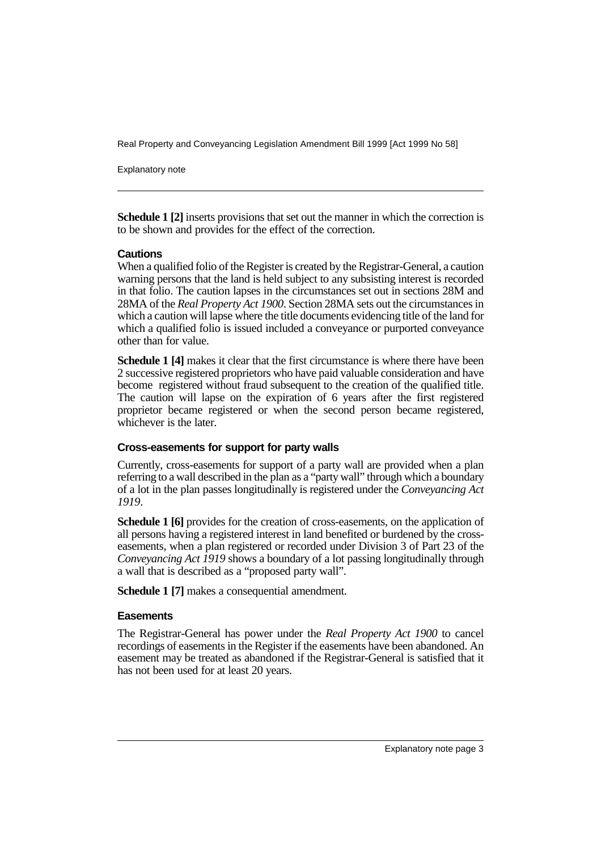Explanatory note

**Schedule 1 [2]** inserts provisions that set out the manner in which the correction is to be shown and provides for the effect of the correction.

#### **Cautions**

When a qualified folio of the Register is created by the Registrar-General, a caution warning persons that the land is held subject to any subsisting interest is recorded in that folio. The caution lapses in the circumstances set out in sections 28M and 28MA of the *Real Property Act 1900*. Section 28MA sets out the circumstances in which a caution will lapse where the title documents evidencing title of the land for which a qualified folio is issued included a conveyance or purported conveyance other than for value.

**Schedule 1 [4]** makes it clear that the first circumstance is where there have been 2 successive registered proprietors who have paid valuable consideration and have become registered without fraud subsequent to the creation of the qualified title. The caution will lapse on the expiration of 6 years after the first registered proprietor became registered or when the second person became registered, whichever is the later.

#### **Cross-easements for support for party walls**

Currently, cross-easements for support of a party wall are provided when a plan referring to a wall described in the plan as a "party wall" through which a boundary of a lot in the plan passes longitudinally is registered under the *Conveyancing Act 1919*.

**Schedule 1 [6]** provides for the creation of cross-easements, on the application of all persons having a registered interest in land benefited or burdened by the crosseasements, when a plan registered or recorded under Division 3 of Part 23 of the *Conveyancing Act 1919* shows a boundary of a lot passing longitudinally through a wall that is described as a "proposed party wall".

**Schedule 1 [7]** makes a consequential amendment.

#### **Easements**

The Registrar-General has power under the *Real Property Act 1900* to cancel recordings of easements in the Register if the easements have been abandoned. An easement may be treated as abandoned if the Registrar-General is satisfied that it has not been used for at least 20 years.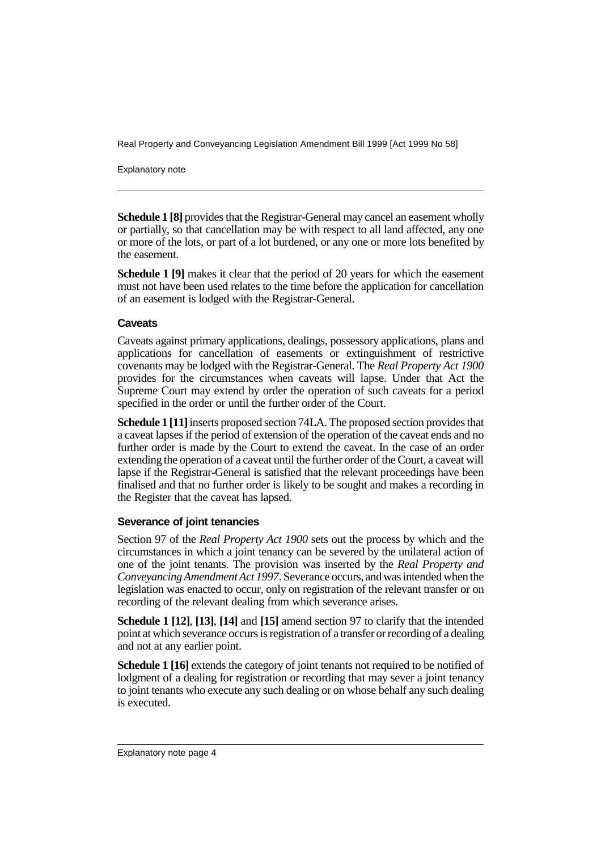Explanatory note

**Schedule 1 [8]** provides that the Registrar-General may cancel an easement wholly or partially, so that cancellation may be with respect to all land affected, any one or more of the lots, or part of a lot burdened, or any one or more lots benefited by the easement.

**Schedule 1 [9]** makes it clear that the period of 20 years for which the easement must not have been used relates to the time before the application for cancellation of an easement is lodged with the Registrar-General.

#### **Caveats**

Caveats against primary applications, dealings, possessory applications, plans and applications for cancellation of easements or extinguishment of restrictive covenants may be lodged with the Registrar-General. The *Real Property Act 1900* provides for the circumstances when caveats will lapse. Under that Act the Supreme Court may extend by order the operation of such caveats for a period specified in the order or until the further order of the Court.

**Schedule 1 [11]** inserts proposed section 74LA. The proposed section provides that a caveat lapses if the period of extension of the operation of the caveat ends and no further order is made by the Court to extend the caveat. In the case of an order extending the operation of a caveat until the further order of the Court, a caveat will lapse if the Registrar-General is satisfied that the relevant proceedings have been finalised and that no further order is likely to be sought and makes a recording in the Register that the caveat has lapsed.

#### **Severance of joint tenancies**

Section 97 of the *Real Property Act 1900* sets out the process by which and the circumstances in which a joint tenancy can be severed by the unilateral action of one of the joint tenants. The provision was inserted by the *Real Property and Conveyancing Amendment Act 1997*. Severance occurs, and was intended when the legislation was enacted to occur, only on registration of the relevant transfer or on recording of the relevant dealing from which severance arises.

**Schedule 1 [12]**, **[13]**, **[14]** and **[15]** amend section 97 to clarify that the intended point at which severance occurs is registration of a transfer or recording of a dealing and not at any earlier point.

**Schedule 1 [16]** extends the category of joint tenants not required to be notified of lodgment of a dealing for registration or recording that may sever a joint tenancy to joint tenants who execute any such dealing or on whose behalf any such dealing is executed.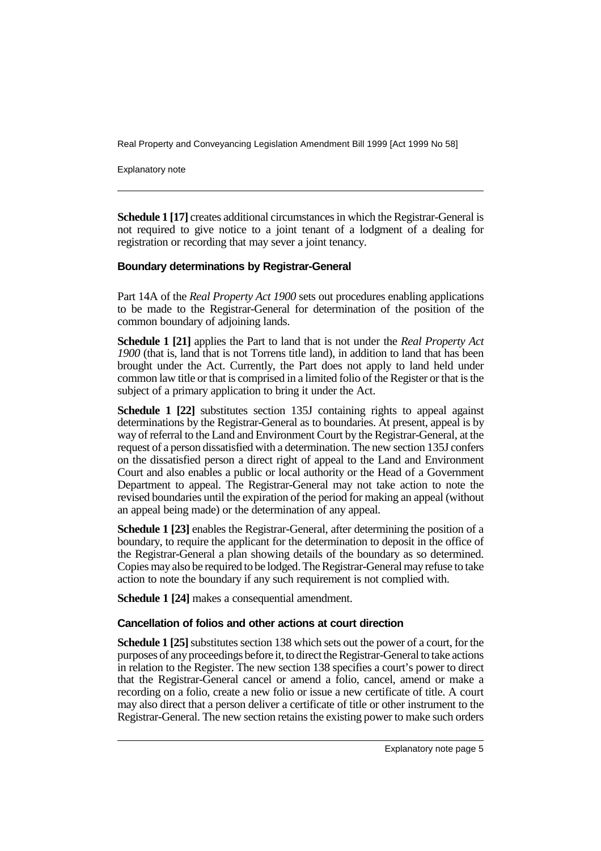Explanatory note

**Schedule 1 [17]** creates additional circumstances in which the Registrar-General is not required to give notice to a joint tenant of a lodgment of a dealing for registration or recording that may sever a joint tenancy.

#### **Boundary determinations by Registrar-General**

Part 14A of the *Real Property Act 1900* sets out procedures enabling applications to be made to the Registrar-General for determination of the position of the common boundary of adjoining lands.

**Schedule 1 [21]** applies the Part to land that is not under the *Real Property Act 1900* (that is, land that is not Torrens title land), in addition to land that has been brought under the Act. Currently, the Part does not apply to land held under common law title or that is comprised in a limited folio of the Register or that is the subject of a primary application to bring it under the Act.

**Schedule 1 [22]** substitutes section 135J containing rights to appeal against determinations by the Registrar-General as to boundaries. At present, appeal is by way of referral to the Land and Environment Court by the Registrar-General, at the request of a person dissatisfied with a determination. The new section 135J confers on the dissatisfied person a direct right of appeal to the Land and Environment Court and also enables a public or local authority or the Head of a Government Department to appeal. The Registrar-General may not take action to note the revised boundaries until the expiration of the period for making an appeal (without an appeal being made) or the determination of any appeal.

**Schedule 1 [23]** enables the Registrar-General, after determining the position of a boundary, to require the applicant for the determination to deposit in the office of the Registrar-General a plan showing details of the boundary as so determined. Copies may also be required to be lodged. The Registrar-General may refuse to take action to note the boundary if any such requirement is not complied with.

**Schedule 1 [24]** makes a consequential amendment.

#### **Cancellation of folios and other actions at court direction**

**Schedule 1 [25]** substitutes section 138 which sets out the power of a court, for the purposes of any proceedings before it, to direct the Registrar-General to take actions in relation to the Register. The new section 138 specifies a court's power to direct that the Registrar-General cancel or amend a folio, cancel, amend or make a recording on a folio, create a new folio or issue a new certificate of title. A court may also direct that a person deliver a certificate of title or other instrument to the Registrar-General. The new section retains the existing power to make such orders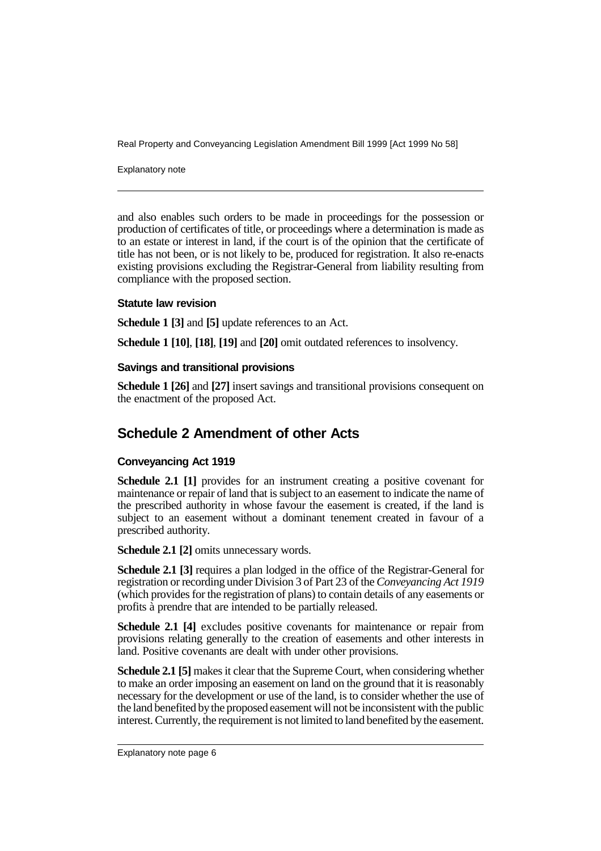Explanatory note

and also enables such orders to be made in proceedings for the possession or production of certificates of title, or proceedings where a determination is made as to an estate or interest in land, if the court is of the opinion that the certificate of title has not been, or is not likely to be, produced for registration. It also re-enacts existing provisions excluding the Registrar-General from liability resulting from compliance with the proposed section.

#### **Statute law revision**

**Schedule 1 [3]** and **[5]** update references to an Act.

**Schedule 1 [10]**, **[18]**, **[19]** and **[20]** omit outdated references to insolvency.

#### **Savings and transitional provisions**

**Schedule 1 [26]** and **[27]** insert savings and transitional provisions consequent on the enactment of the proposed Act.

## **Schedule 2 Amendment of other Acts**

#### **Conveyancing Act 1919**

**Schedule 2.1 [1]** provides for an instrument creating a positive covenant for maintenance or repair of land that is subject to an easement to indicate the name of the prescribed authority in whose favour the easement is created, if the land is subject to an easement without a dominant tenement created in favour of a prescribed authority.

**Schedule 2.1 [2]** omits unnecessary words.

**Schedule 2.1 [3]** requires a plan lodged in the office of the Registrar-General for registration or recording under Division 3 of Part 23 of the *Conveyancing Act 1919* (which provides for the registration of plans) to contain details of any easements or profits à prendre that are intended to be partially released.

**Schedule 2.1 [4]** excludes positive covenants for maintenance or repair from provisions relating generally to the creation of easements and other interests in land. Positive covenants are dealt with under other provisions.

**Schedule 2.1 [5]** makes it clear that the Supreme Court, when considering whether to make an order imposing an easement on land on the ground that it is reasonably necessary for the development or use of the land, is to consider whether the use of the land benefited by the proposed easement will not be inconsistent with the public interest. Currently, the requirement is not limited to land benefited by the easement.